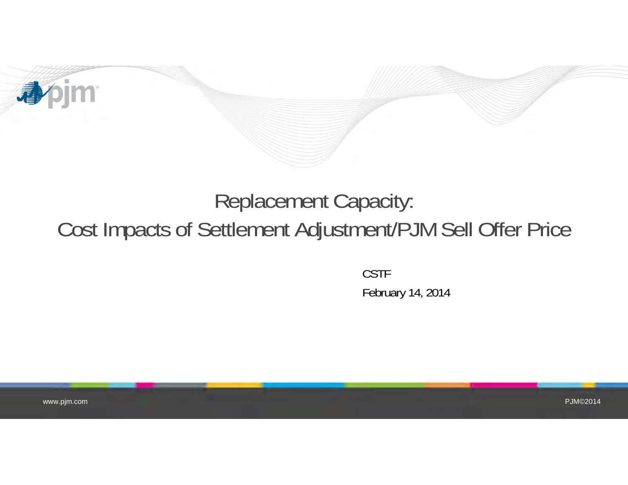

# Replacement Capacity: Cost Impacts of Settlement Adjustment/PJM Sell Offer Price

CSTF February 14, 2014

www.pjm.com

PJM©2014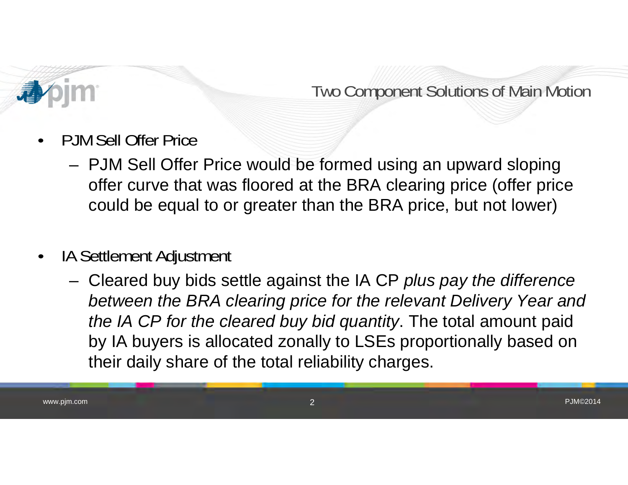

Two Component Solutions of Main Motion

- • PJM Sell Offer Price
	- PJM Sell Offer Price would be formed using an upward sloping offer curve that was floored at the BRA clearing price (offer price could be equal to or greater than the BRA price, but not lower)
- $\bullet$  IA Settlement Adjustment
	- Cleared buy bids settle against the IA CP *plus pay the difference between the BRA clearing price for the relevant Delivery Year and the IA CP for the cleared buy bid quantity*. The total amount paid by IA buyers is allocated zonally to LSEs proportionally based on their daily share of the total reliability charges.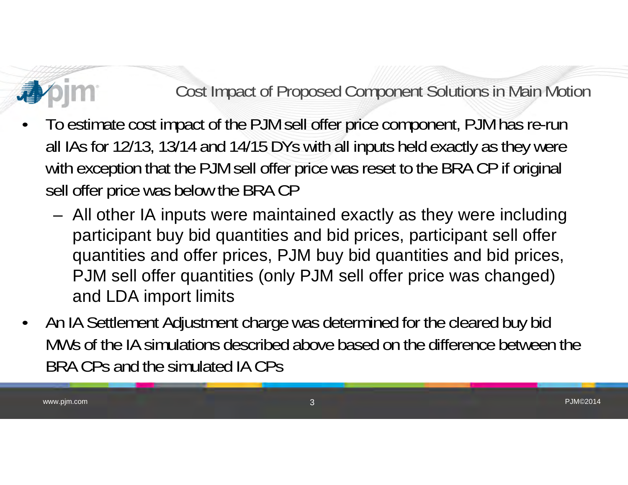Cost Impact of Proposed Component Solutions in Main Motion

- • To estimate cost impact of the PJM sell offer price component, PJM has re-run all IAs for 12/13, 13/14 and 14/15 DYs with all inputs held exactly as they were with exception that the PJM sell offer price was reset to the BRA CP if original sell offer price was below the BRA CP
	- – All other IA inputs were maintained exactly as they were including participant buy bid quantities and bid prices, participant sell offer quantities and offer prices, PJM buy bid quantities and bid prices, PJM sell offer quantities (only PJM sell offer price was changed) and LDA import limits
- • An IA Settlement Adjustment charge was determined for the cleared buy bid MWs of the IA simulations described above based on the difference between the BRA CPs and the simulated IA CPs

www.pjm.com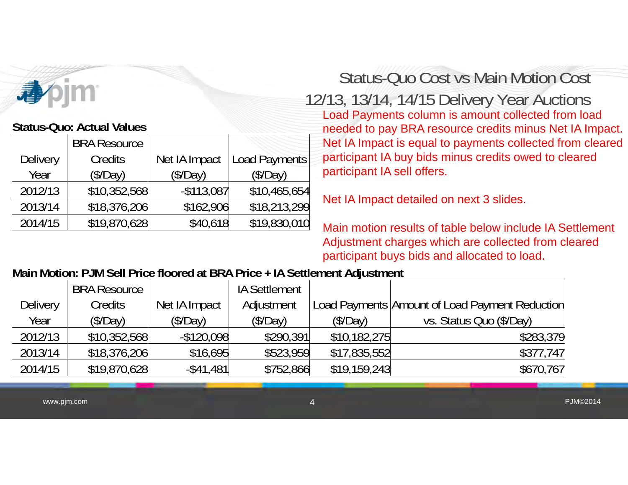

#### **Status-Quo: Actual Values**

|                 | <b>BRA Resource</b> |               |                      |
|-----------------|---------------------|---------------|----------------------|
| <b>Delivery</b> | Credits             | Net IA Impact | <b>Load Payments</b> |
| Year            | (\$/Day)            | \$/Day)       | (\$/Day)             |
| 2012/13         | \$10,352,568        | $-$113,087$   | \$10,465,654         |
| 2013/14         | \$18,376,206        | \$162,906     | \$18,213,299         |
| 2014/15         | \$19,870,628        | \$40,618      | \$19,830,010         |

Status-Quo Cost vs Main Motion Cost12/13, 13/14, 14/15 Delivery Year Auctions Load Payments column is amount collected from load needed to pay BRA resource credits minus Net IA Impact. Net IA Impact is equal to payments collected from cleared participant IA buy bids minus credits owed to cleared participant IA sell offers.

Net IA Impact detailed on next 3 slides.

Main motion results of table below include IA Settlement Adjustment charges which are collected from cleared participant buys bids and allocated to load.

#### **Main Motion: PJM Sell Price floored at BRA Price + IA Settlement Adjustment**

|                 | <b>BRA Resource</b> |               | <b>IA Settlement</b> |              |                                                |
|-----------------|---------------------|---------------|----------------------|--------------|------------------------------------------------|
| <b>Delivery</b> | Credits             | Net IA Impact | Adjustment           |              | Load Payments Amount of Load Payment Reduction |
| Year            | \$/Day)             | \$/Day)       | (S/Day)              | (S/Day)      | vs. Status Quo (\$/Day)                        |
| 2012/13         | \$10,352,568        | $-$ \$120,098 | \$290,391            | \$10,182,275 | \$283,379                                      |
| 2013/14         | \$18,376,206        | \$16,695      | \$523,959            | \$17,835,552 | \$377,747                                      |
| 2014/15         | \$19,870,628        | $-$ \$41,481  | \$752,866            | \$19,159,243 | \$670,767                                      |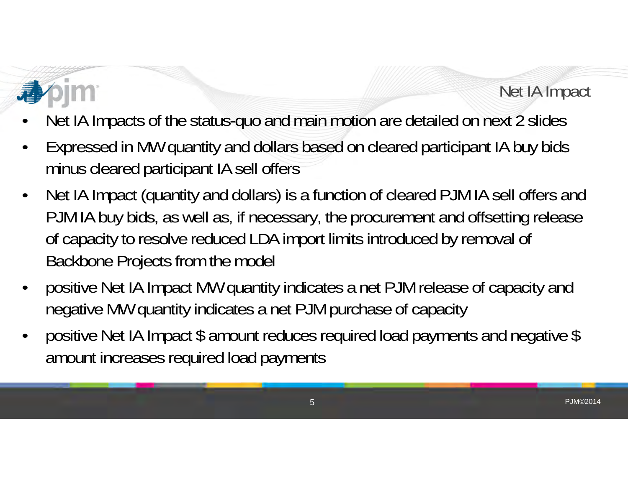### Net IA Impact

- •Net IA Impacts of the status-quo and main motion are detailed on next 2 slides
- • Expressed in MW quantity and dollars based on cleared participant IA buy bids minus cleared participant IA sell offers
- • Net IA Impact (quantity and dollars) is a function of cleared PJM IA sell offers and PJM IA buy bids, as well as, if necessary, the procurement and offsetting release of capacity to resolve reduced LDA import limits introduced by removal of Backbone Projects from the model
- • positive Net IA Impact MW quantity indicates a net PJM release of capacity and negative MW quantity indicates a net PJM purchase of capacity
- • positive Net IA Impact \$ amount reduces required load payments and negative \$ amount increases required load payments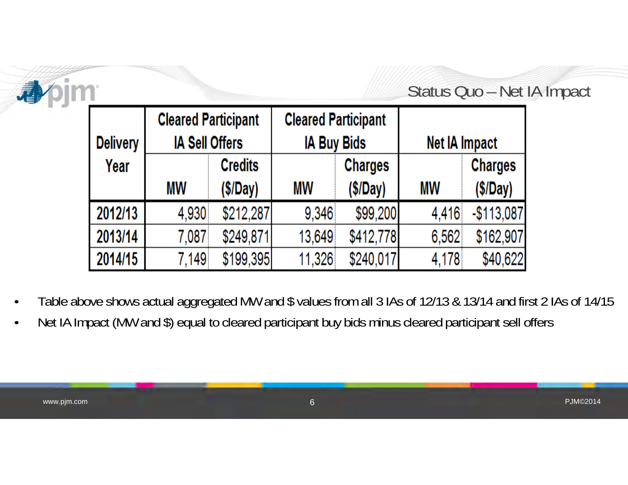### Status Quo – Net IA Impact

| <b>Delivery</b> | <b>Cleared Participant</b><br><b>IA Sell Offers</b> |                | <b>Cleared Participant</b><br><b>IA Buy Bids</b> |                | <b>Net IA Impact</b> |                |
|-----------------|-----------------------------------------------------|----------------|--------------------------------------------------|----------------|----------------------|----------------|
| Year            |                                                     | <b>Credits</b> |                                                  | <b>Charges</b> |                      | <b>Charges</b> |
|                 | <b>MW</b>                                           | (\$/Day)       | <b>MW</b>                                        | (\$/Day)       | <b>MW</b>            | (\$/Day)       |
| 2012/13         | 4,930                                               | \$212,287      | 9,346                                            | \$99,200       | 4,416                | $-$113,087$    |
| 2013/14         | 7,087                                               | \$249,871      | 13,649                                           | \$412,778      | 6,562                | \$162,907      |
| 2014/15         | 7,149                                               | \$199,395      | 11,326                                           | \$240,017      | 4,178                | \$40,622       |

- •Table above shows actual aggregated MW and \$ values from all 3 IAs of 12/13 & 13/14 and first 2 IAs of 14/15
- •Net IA Impact (MW and \$) equal to cleared participant buy bids minus cleared participant sell offers